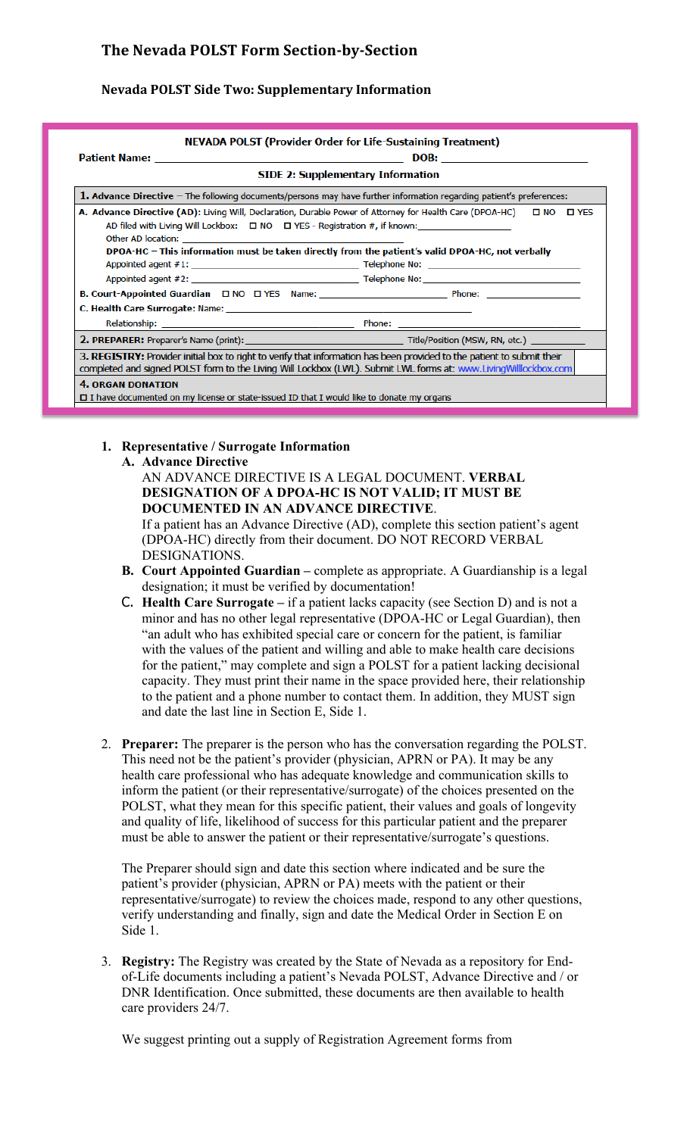# **The Nevada POLST Form Section-by-Section**

## **Nevada POLST Side Two: Supplementary Information**

| <b>SIDE 2: Supplementary Information</b>                                                                                                                                                                                                                                                                             |  |
|----------------------------------------------------------------------------------------------------------------------------------------------------------------------------------------------------------------------------------------------------------------------------------------------------------------------|--|
| 1. Advance Directive $-$ The following documents/persons may have further information regarding patient's preferences:                                                                                                                                                                                               |  |
| AD filed with Living Will Lockbox: $\Box$ NO $\Box$ YES - Registration #, if known:<br>Other AD location: Department of the contract of the contract of the contract of the contract of the contract of the contract of the contract of the contract of the contract of the contract of the contract of the contract |  |
| DPOA-HC - This information must be taken directly from the patient's valid DPOA-HC, not verbally                                                                                                                                                                                                                     |  |
|                                                                                                                                                                                                                                                                                                                      |  |
|                                                                                                                                                                                                                                                                                                                      |  |
|                                                                                                                                                                                                                                                                                                                      |  |
|                                                                                                                                                                                                                                                                                                                      |  |
| 2. PREPARER: Preparer's Name (print): Note and the second state of the Title/Position (MSW, RN, etc.)                                                                                                                                                                                                                |  |
| 3. REGISTRY: Provider initial box to right to verify that information has been provided to the patient to submit their<br>completed and signed POLST form to the Living Will Lockbox (LWL). Submit LWL forms at: www.LivingWilllockbox.com                                                                           |  |
| <b>4. ORGAN DONATION</b><br>$\square$ I have documented on my license or state-issued ID that I would like to donate my organs                                                                                                                                                                                       |  |

#### **1. Representative / Surrogate Information**

**A. Advance Directive**

## AN ADVANCE DIRECTIVE IS A LEGAL DOCUMENT. **VERBAL DESIGNATION OF A DPOA-HC IS NOT VALID; IT MUST BE DOCUMENTED IN AN ADVANCE DIRECTIVE**. If a patient has an Advance Directive (AD), complete this section patient's agent

(DPOA-HC) directly from their document. DO NOT RECORD VERBAL DESIGNATIONS.

- **B. Court Appointed Guardian –** complete as appropriate. A Guardianship is a legal designation; it must be verified by documentation!
- C. **Health Care Surrogate –** if a patient lacks capacity (see Section D) and is not a minor and has no other legal representative (DPOA-HC or Legal Guardian), then "an adult who has exhibited special care or concern for the patient, is familiar with the values of the patient and willing and able to make health care decisions for the patient," may complete and sign a POLST for a patient lacking decisional capacity. They must print their name in the space provided here, their relationship to the patient and a phone number to contact them. In addition, they MUST sign and date the last line in Section E, Side 1.
- 2. **Preparer:** The preparer is the person who has the conversation regarding the POLST. This need not be the patient's provider (physician, APRN or PA). It may be any health care professional who has adequate knowledge and communication skills to inform the patient (or their representative/surrogate) of the choices presented on the POLST, what they mean for this specific patient, their values and goals of longevity and quality of life, likelihood of success for this particular patient and the preparer must be able to answer the patient or their representative/surrogate's questions.

The Preparer should sign and date this section where indicated and be sure the patient's provider (physician, APRN or PA) meets with the patient or their representative/surrogate) to review the choices made, respond to any other questions, verify understanding and finally, sign and date the Medical Order in Section E on Side 1.

3. **Registry:** The Registry was created by the State of Nevada as a repository for Endof-Life documents including a patient's Nevada POLST, Advance Directive and / or DNR Identification. Once submitted, these documents are then available to health care providers 24/7.

We suggest printing out a supply of Registration Agreement forms from